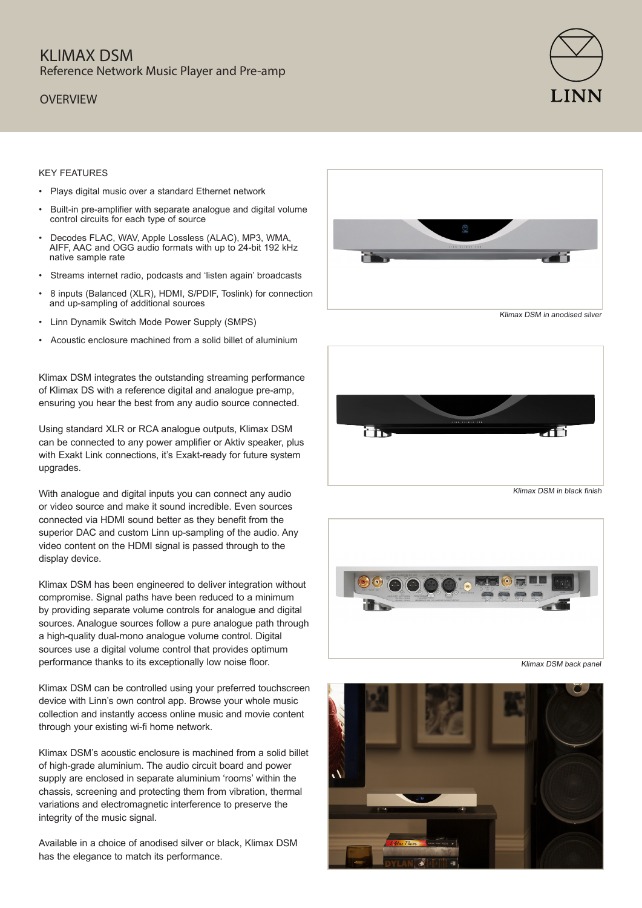# KI IMAX DSM Reference Network Music Player and Pre-amp

### **OVERVIEW**



#### KEY FEATURES

- Plays digital music over a standard Ethernet network
- Built-in pre-amplifier with separate analogue and digital volume control circuits for each type of source
- Decodes FLAC, WAV, Apple Lossless (ALAC), MP3, WMA, AIFF, AAC and OGG audio formats with up to 24-bit 192 kHz native sample rate
- Streams internet radio, podcasts and 'listen again' broadcasts
- 8 inputs (Balanced (XLR), HDMI, S/PDIF, Toslink) for connection and up-sampling of additional sources
- Linn Dynamik Switch Mode Power Supply (SMPS)
- Acoustic enclosure machined from a solid billet of aluminium

Klimax DSM integrates the outstanding streaming performance of Klimax DS with a reference digital and analogue pre-amp, ensuring you hear the best from any audio source connected.

Using standard XLR or RCA analogue outputs, Klimax DSM can be connected to any power amplifier or Aktiv speaker, plus with Exakt Link connections, it's Exakt-ready for future system upgrades.

With analogue and digital inputs you can connect any audio or video source and make it sound incredible. Even sources connected via HDMI sound better as they benefit from the superior DAC and custom Linn up-sampling of the audio. Any video content on the HDMI signal is passed through to the display device.

Klimax DSM has been engineered to deliver integration without compromise. Signal paths have been reduced to a minimum by providing separate volume controls for analogue and digital sources. Analogue sources follow a pure analogue path through a high-quality dual-mono analogue volume control. Digital sources use a digital volume control that provides optimum performance thanks to its exceptionally low noise floor.

Klimax DSM can be controlled using your preferred touchscreen device with Linn's own control app. Browse your whole music collection and instantly access online music and movie content through your existing wi-fi home network.

Klimax DSM's acoustic enclosure is machined from a solid billet of high-grade aluminium. The audio circuit board and power supply are enclosed in separate aluminium 'rooms' within the chassis, screening and protecting them from vibration, thermal variations and electromagnetic interference to preserve the integrity of the music signal.

Available in a choice of anodised silver or black, Klimax DSM has the elegance to match its performance.



Klimax DSM in anodised silver





Klimax DSM back panel